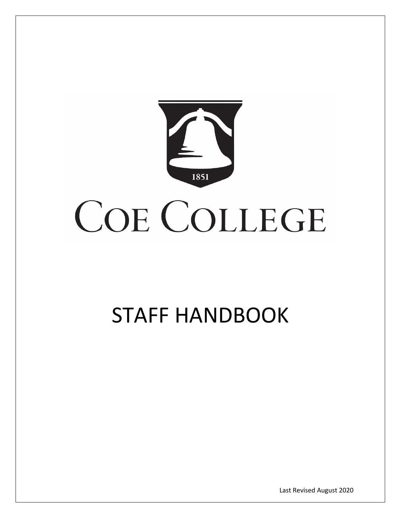

# STAFF HANDBOOK

Last Revised August 2020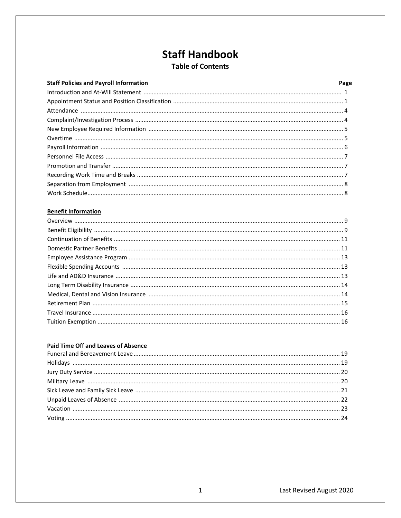### **Staff Handbook Table of Contents**

| <b>Staff Policies and Payroll Information</b> | Page |
|-----------------------------------------------|------|
|                                               |      |
|                                               |      |
|                                               |      |
|                                               |      |
|                                               |      |
|                                               |      |
|                                               |      |
|                                               |      |
|                                               |      |
|                                               |      |
|                                               |      |
|                                               |      |

#### **Benefit Information**

### **Paid Time Off and Leaves of Absence**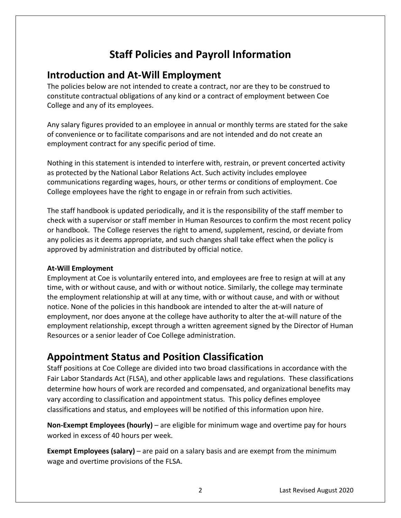# **Staff Policies and Payroll Information**

# **Introduction and At-Will Employment**

The policies below are not intended to create a contract, nor are they to be construed to constitute contractual obligations of any kind or a contract of employment between Coe College and any of its employees.

Any salary figures provided to an employee in annual or monthly terms are stated for the sake of convenience or to facilitate comparisons and are not intended and do not create an employment contract for any specific period of time.

Nothing in this statement is intended to interfere with, restrain, or prevent concerted activity as protected by the National Labor Relations Act. Such activity includes employee communications regarding wages, hours, or other terms or conditions of employment. Coe College employees have the right to engage in or refrain from such activities.

 approved by administration and distributed by official notice. The staff handbook is updated periodically, and it is the responsibility of the staff member to check with a supervisor or staff member in Human Resources to confirm the most recent policy or handbook. The College reserves the right to amend, supplement, rescind, or deviate from any policies as it deems appropriate, and such changes shall take effect when the policy is

### **At-Will Employment**

Employment at Coe is voluntarily entered into, and employees are free to resign at will at any time, with or without cause, and with or without notice. Similarly, the college may terminate the employment relationship at will at any time, with or without cause, and with or without notice. None of the policies in this handbook are intended to alter the at-will nature of employment, nor does anyone at the college have authority to alter the at-will nature of the employment relationship, except through a written agreement signed by the Director of Human Resources or a senior leader of Coe College administration.

# **Appointment Status and Position Classification**

Staff positions at Coe College are divided into two broad classifications in accordance with the Fair Labor Standards Act (FLSA), and other applicable laws and regulations. These classifications determine how hours of work are recorded and compensated, and organizational benefits may vary according to classification and appointment status. This policy defines employee classifications and status, and employees will be notified of this information upon hire.

**Non-Exempt Employees (hourly)** – are eligible for minimum wage and overtime pay for hours worked in excess of 40 hours per week.

**Exempt Employees (salary)** – are paid on a salary basis and are exempt from the minimum wage and overtime provisions of the FLSA.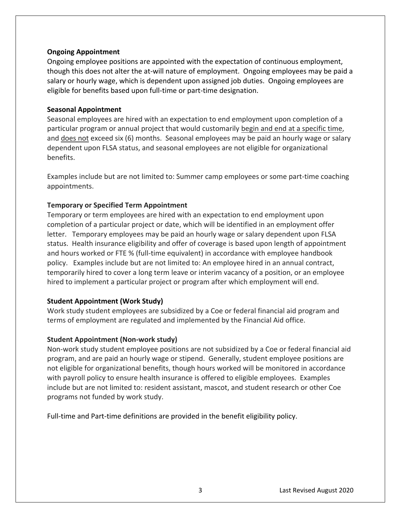#### **Ongoing Appointment**

 eligible for benefits based upon full-time or part-time designation. Ongoing employee positions are appointed with the expectation of continuous employment, though this does not alter the at-will nature of employment. Ongoing employees may be paid a salary or hourly wage, which is dependent upon assigned job duties. Ongoing employees are

#### **Seasonal Appointment**

benefits. Seasonal employees are hired with an expectation to end employment upon completion of a particular program or annual project that would customarily begin and end at a specific time, and does not exceed six (6) months. Seasonal employees may be paid an hourly wage or salary dependent upon FLSA status, and seasonal employees are not eligible for organizational

Examples include but are not limited to: Summer camp employees or some part-time coaching appointments.

#### **Temporary or Specified Term Appointment**

Temporary or term employees are hired with an expectation to end employment upon completion of a particular project or date, which will be identified in an employment offer letter. Temporary employees may be paid an hourly wage or salary dependent upon FLSA status. Health insurance eligibility and offer of coverage is based upon length of appointment and hours worked or FTE % (full-time equivalent) in accordance with employee handbook policy. Examples include but are not limited to: An employee hired in an annual contract, temporarily hired to cover a long term leave or interim vacancy of a position, or an employee hired to implement a particular project or program after which employment will end.

#### **Student Appointment (Work Study)**

Work study student employees are subsidized by a Coe or federal financial aid program and terms of employment are regulated and implemented by the Financial Aid office.

#### **Student Appointment (Non-work study)**

Non-work study student employee positions are not subsidized by a Coe or federal financial aid program, and are paid an hourly wage or stipend. Generally, student employee positions are not eligible for organizational benefits, though hours worked will be monitored in accordance with payroll policy to ensure health insurance is offered to eligible employees. Examples include but are not limited to: resident assistant, mascot, and student research or other Coe programs not funded by work study.

Full-time and Part-time definitions are provided in the benefit eligibility policy.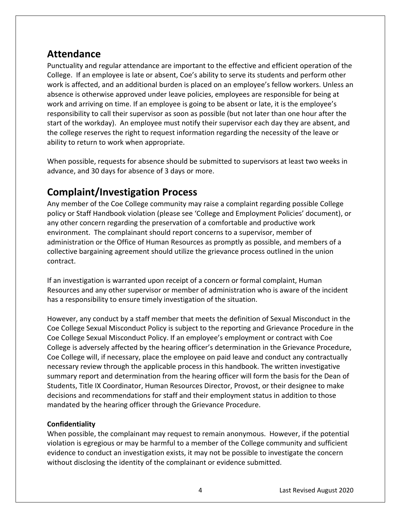# <span id="page-4-0"></span>**Attendance**

Punctuality and regular attendance are important to the effective and efficient operation of the College. If an employee is late or absent, Coe's ability to serve its students and perform other work is affected, and an additional burden is placed on an employee's fellow workers. Unless an absence is otherwise approved under leave policies, employees are responsible for being at work and arriving on time. If an employee is going to be absent or late, it is the employee's responsibility to call their supervisor as soon as possible (but not later than one hour after the start of the workday). An employee must notify their supervisor each day they are absent, and the college reserves the right to request information regarding the necessity of the leave or ability to return to work when appropriate.

 advance, and 30 days for absence of 3 days or more. When possible, requests for absence should be submitted to supervisors at least two weeks in

# **Complaint/Investigation Process**

Any member of the Coe College community may raise a complaint regarding possible College policy or Staff Handbook violation (please see 'College and Employment Policies' document), or any other concern regarding the preservation of a comfortable and productive work environment. The complainant should report concerns to a supervisor, member of administration or the Office of Human Resources as promptly as possible, and members of a collective bargaining agreement should utilize the grievance process outlined in the union contract.

If an investigation is warranted upon receipt of a concern or formal complaint, Human Resources and any other supervisor or member of administration who is aware of the incident has a responsibility to ensure timely investigation of the situation.

However, any conduct by a staff member that meets the definition of Sexual Misconduct in the Coe College Sexual Misconduct Policy is subject to the reporting and Grievance Procedure in the Coe College Sexual Misconduct Policy. If an employee's employment or contract with Coe College is adversely affected by the hearing officer's determination in the Grievance Procedure, Coe College will, if necessary, place the employee on paid leave and conduct any contractually necessary review through the applicable process in this handbook. The written investigative summary report and determination from the hearing officer will form the basis for the Dean of Students, Title IX Coordinator, Human Resources Director, Provost, or their designee to make decisions and recommendations for staff and their employment status in addition to those mandated by the hearing officer through the Grievance Procedure.

### **Confidentiality**

When possible, the complainant may request to remain anonymous. However, if the potential violation is egregious or may be harmful to a member of the College community and sufficient evidence to conduct an investigation exists, it may not be possible to investigate the concern without disclosing the identity of the complainant or evidence submitted.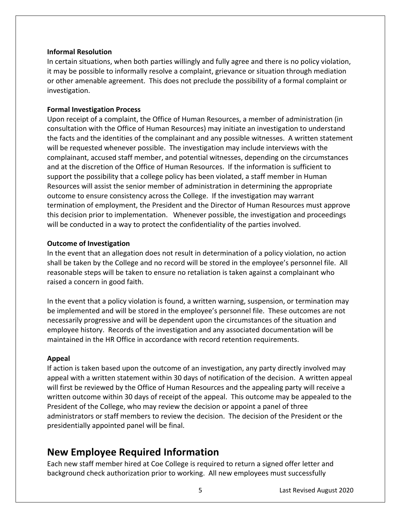#### <span id="page-5-0"></span>**Informal Resolution**

In certain situations, when both parties willingly and fully agree and there is no policy violation, it may be possible to informally resolve a complaint, grievance or situation through mediation or other amenable agreement. This does not preclude the possibility of a formal complaint or investigation.

#### **Formal Investigation Process**

Upon receipt of a complaint, the Office of Human Resources, a member of administration (in consultation with the Office of Human Resources) may initiate an investigation to understand the facts and the identities of the complainant and any possible witnesses. A written statement will be requested whenever possible. The investigation may include interviews with the complainant, accused staff member, and potential witnesses, depending on the circumstances and at the discretion of the Office of Human Resources. If the information is sufficient to support the possibility that a college policy has been violated, a staff member in Human Resources will assist the senior member of administration in determining the appropriate outcome to ensure consistency across the College. If the investigation may warrant termination of employment, the President and the Director of Human Resources must approve this decision prior to implementation. Whenever possible, the investigation and proceedings will be conducted in a way to protect the confidentiality of the parties involved.

#### **Outcome of Investigation**

In the event that an allegation does not result in determination of a policy violation, no action shall be taken by the College and no record will be stored in the employee's personnel file. All reasonable steps will be taken to ensure no retaliation is taken against a complainant who raised a concern in good faith.

In the event that a policy violation is found, a written warning, suspension, or termination may be implemented and will be stored in the employee's personnel file. These outcomes are not necessarily progressive and will be dependent upon the circumstances of the situation and employee history. Records of the investigation and any associated documentation will be maintained in the HR Office in accordance with record retention requirements.

#### **Appeal**

If action is taken based upon the outcome of an investigation, any party directly involved may appeal with a written statement within 30 days of notification of the decision. A written appeal will first be reviewed by the Office of Human Resources and the appealing party will receive a written outcome within 30 days of receipt of the appeal. This outcome may be appealed to the President of the College, who may review the decision or appoint a panel of three administrators or staff members to review the decision. The decision of the President or the presidentially appointed panel will be final.

### **New Employee Required Information**

Each new staff member hired at Coe College is required to return a signed offer letter and background check authorization prior to working. All new employees must successfully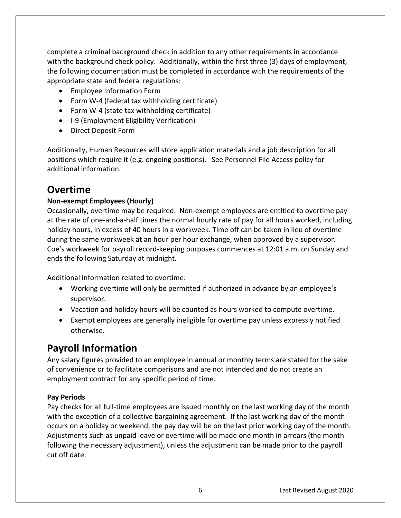<span id="page-6-0"></span>complete a criminal background check in addition to any other requirements in accordance with the background check policy. Additionally, within the first three (3) days of employment, the following documentation must be completed in accordance with the requirements of the appropriate state and federal regulations:

- Employee Information Form
- Form W-4 (federal tax withholding certificate)
- Form W-4 (state tax withholding certificate)
- I-9 (Employment Eligibility Verification)
- Direct Deposit Form

Additionally, Human Resources will store application materials and a job description for all positions which require it (e.g. ongoing positions). See Personnel File Access policy for additional information.

### **Overtime**

### **Non-exempt Employees (Hourly)**

Occasionally, overtime may be required. Non-exempt employees are entitled to overtime pay at the rate of one-and-a-half times the normal hourly rate of pay for all hours worked, including holiday hours, in excess of 40 hours in a workweek. Time off can be taken in lieu of overtime during the same workweek at an hour per hour exchange, when approved by a supervisor. Coe's workweek for payroll record-keeping purposes commences at 12:01 a.m. on Sunday and ends the following Saturday at midnight.

Additional information related to overtime:

- Working overtime will only be permitted if authorized in advance by an employee's supervisor.
- Vacation and holiday hours will be counted as hours worked to compute overtime.
- Exempt employees are generally ineligible for overtime pay unless expressly notified otherwise.

# **Payroll Information**

Any salary figures provided to an employee in annual or monthly terms are stated for the sake of convenience or to facilitate comparisons and are not intended and do not create an employment contract for any specific period of time.

### **Pay Periods**

Pay checks for all full-time employees are issued monthly on the last working day of the month with the exception of a collective bargaining agreement. If the last working day of the month occurs on a holiday or weekend, the pay day will be on the last prior working day of the month. Adjustments such as unpaid leave or overtime will be made one month in arrears (the month following the necessary adjustment), unless the adjustment can be made prior to the payroll cut off date.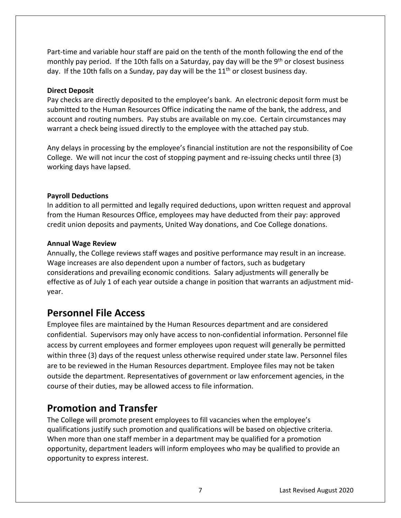<span id="page-7-0"></span>Part-time and variable hour staff are paid on the tenth of the month following the end of the monthly pay period. If the 10th falls on a Saturday, pay day will be the 9<sup>th</sup> or closest business day. If the 10th falls on a Sunday, pay day will be the  $11<sup>th</sup>$  or closest business day.

#### **Direct Deposit**

Pay checks are directly deposited to the employee's bank. An electronic deposit form must be submitted to the Human Resources Office indicating the name of the bank, the address, and account and routing numbers. Pay stubs are available on my.coe. Certain circumstances may warrant a check being issued directly to the employee with the attached pay stub.

Any delays in processing by the employee's financial institution are not the responsibility of Coe College. We will not incur the cost of stopping payment and re-issuing checks until three (3) working days have lapsed.

#### **Payroll Deductions**

In addition to all permitted and legally required deductions, upon written request and approval from the Human Resources Office, employees may have deducted from their pay: approved credit union deposits and payments, United Way donations, and Coe College donations.

#### **Annual Wage Review**

Annually, the College reviews staff wages and positive performance may result in an increase. Wage increases are also dependent upon a number of factors, such as budgetary considerations and prevailing economic conditions. Salary adjustments will generally be effective as of July 1 of each year outside a change in position that warrants an adjustment midyear.

### **Personnel File Access**

Employee files are maintained by the Human Resources department and are considered confidential. Supervisors may only have access to non-confidential information. Personnel file access by current employees and former employees upon request will generally be permitted within three (3) days of the request unless otherwise required under state law. Personnel files are to be reviewed in the Human Resources department. Employee files may not be taken outside the department. Representatives of government or law enforcement agencies, in the course of their duties, may be allowed access to file information.

### **Promotion and Transfer**

The College will promote present employees to fill vacancies when the employee's qualifications justify such promotion and qualifications will be based on objective criteria. When more than one staff member in a department may be qualified for a promotion opportunity, department leaders will inform employees who may be qualified to provide an opportunity to express interest.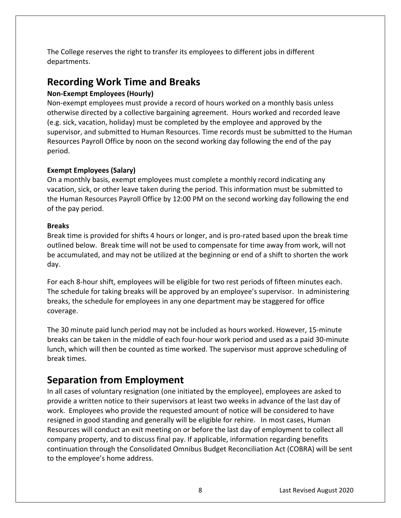<span id="page-8-0"></span>The College reserves the right to transfer its employees to different jobs in different departments.

# **Recording Work Time and Breaks**

### **Non-Exempt Employees (Hourly)**

Non-exempt employees must provide a record of hours worked on a monthly basis unless otherwise directed by a collective bargaining agreement. Hours worked and recorded leave (e.g. sick, vacation, holiday) must be completed by the employee and approved by the supervisor, and submitted to Human Resources. Time records must be submitted to the Human Resources Payroll Office by noon on the second working day following the end of the pay period.

### **Exempt Employees (Salary)**

On a monthly basis, exempt employees must complete a monthly record indicating any vacation, sick, or other leave taken during the period. This information must be submitted to the Human Resources Payroll Office by 12:00 PM on the second working day following the end of the pay period.

### **Breaks**

Break time is provided for shifts 4 hours or longer, and is pro-rated based upon the break time outlined below. Break time will not be used to compensate for time away from work, will not be accumulated, and may not be utilized at the beginning or end of a shift to shorten the work day.

 The schedule for taking breaks will be approved by an employee's supervisor. In administering For each 8-hour shift, employees will be eligible for two rest periods of fifteen minutes each. breaks, the schedule for employees in any one department may be staggered for office coverage.

The 30 minute paid lunch period may not be included as hours worked. However, 15-minute breaks can be taken in the middle of each four-hour work period and used as a paid 30-minute lunch, which will then be counted as time worked. The supervisor must approve scheduling of break times.

# **Separation from Employment**

In all cases of voluntary resignation (one initiated by the employee), employees are asked to provide a written notice to their supervisors at least two weeks in advance of the last day of work. Employees who provide the requested amount of notice will be considered to have resigned in good standing and generally will be eligible for rehire. In most cases, Human Resources will conduct an exit meeting on or before the last day of employment to collect all company property, and to discuss final pay. If applicable, information regarding benefits continuation through the Consolidated Omnibus Budget Reconciliation Act (COBRA) will be sent to the employee's home address.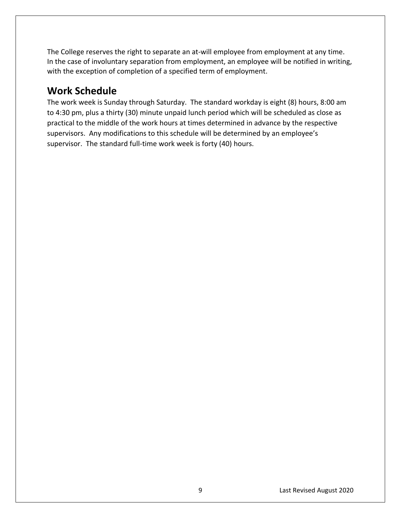<span id="page-9-0"></span>The College reserves the right to separate an at-will employee from employment at any time. In the case of involuntary separation from employment, an employee will be notified in writing, with the exception of completion of a specified term of employment.

# **Work Schedule**

 supervisors. Any modifications to this schedule will be determined by an employee's supervisor. The standard full-time work week is forty (40) hours. The work week is Sunday through Saturday. The standard workday is eight (8) hours, 8:00 am to 4:30 pm, plus a thirty (30) minute unpaid lunch period which will be scheduled as close as practical to the middle of the work hours at times determined in advance by the respective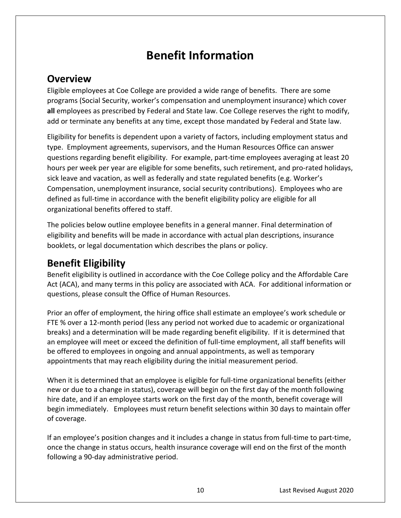# **Benefit Information**

### **Overview**

 Eligible employees at Coe College are provided a wide range of benefits. There are some programs (Social Security, worker's compensation and unemployment insurance) which cover **all** employees as prescribed by Federal and State law. Coe College reserves the right to modify, add or terminate any benefits at any time, except those mandated by Federal and State law.

Eligibility for benefits is dependent upon a variety of factors, including employment status and type. Employment agreements, supervisors, and the Human Resources Office can answer questions regarding benefit eligibility. For example, part-time employees averaging at least 20 hours per week per year are eligible for some benefits, such retirement, and pro-rated holidays, sick leave and vacation, as well as federally and state regulated benefits (e.g. Worker's Compensation, unemployment insurance, social security contributions). Employees who are defined as full-time in accordance with the benefit eligibility policy are eligible for all organizational benefits offered to staff.

The policies below outline employee benefits in a general manner. Final determination of eligibility and benefits will be made in accordance with actual plan descriptions, insurance booklets, or legal documentation which describes the plans or policy.

# **Benefit Eligibility**

 questions, please consult the Office of Human Resources. Benefit eligibility is outlined in accordance with the Coe College policy and the Affordable Care Act (ACA), and many terms in this policy are associated with ACA. For additional information or

Prior an offer of employment, the hiring office shall estimate an employee's work schedule or FTE % over a 12-month period (less any period not worked due to academic or organizational breaks) and a determination will be made regarding benefit eligibility. If it is determined that an employee will meet or exceed the definition of full-time employment, all staff benefits will be offered to employees in ongoing and annual appointments, as well as temporary appointments that may reach eligibility during the initial measurement period.

When it is determined that an employee is eligible for full-time organizational benefits (either new or due to a change in status), coverage will begin on the first day of the month following hire date, and if an employee starts work on the first day of the month, benefit coverage will begin immediately. Employees must return benefit selections within 30 days to maintain offer of coverage.

If an employee's position changes and it includes a change in status from full-time to part-time, once the change in status occurs, health insurance coverage will end on the first of the month following a 90-day administrative period.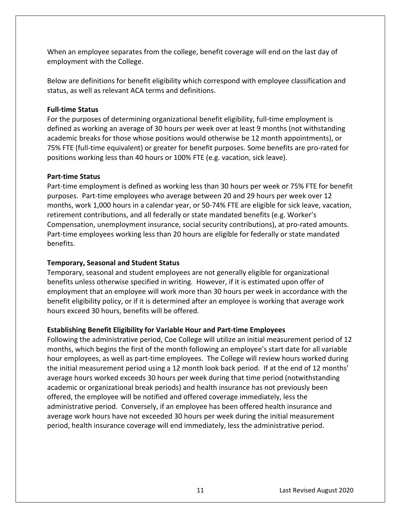<span id="page-11-0"></span>When an employee separates from the college, benefit coverage will end on the last day of employment with the College.

Below are definitions for benefit eligibility which correspond with employee classification and status, as well as relevant ACA terms and definitions.

#### **Full-time Status**

For the purposes of determining organizational benefit eligibility, full-time employment is defined as working an average of 30 hours per week over at least 9 months (not withstanding academic breaks for those whose positions would otherwise be 12 month appointments), or 75% FTE (full-time equivalent) or greater for benefit purposes. Some benefits are pro-rated for positions working less than 40 hours or 100% FTE (e.g. vacation, sick leave).

#### **Part-time Status**

 purposes. Part-time employees who average between 20 and 29 hours per week over 12 Compensation, unemployment insurance, social security contributions), at pro-rated amounts. benefits. Part-time employment is defined as working less than 30 hours per week or 75% FTE for benefit months, work 1,000 hours in a calendar year, or 50-74% FTE are eligible for sick leave, vacation, retirement contributions, and all federally or state mandated benefits (e.g. Worker's Part-time employees working less than 20 hours are eligible for federally or state mandated

### **Temporary, Seasonal and Student Status**

Temporary, seasonal and student employees are not generally eligible for organizational benefits unless otherwise specified in writing. However, if it is estimated upon offer of employment that an employee will work more than 30 hours per week in accordance with the benefit eligibility policy, or if it is determined after an employee is working that average work hours exceed 30 hours, benefits will be offered.

### **Establishing Benefit Eligibility for Variable Hour and Part-time Employees**

 hour employees, as well as part-time employees. The College will review hours worked during Following the administrative period, Coe College will utilize an initial measurement period of 12 months, which begins the first of the month following an employee's start date for all variable the initial measurement period using a 12 month look back period. If at the end of 12 months' average hours worked exceeds 30 hours per week during that time period (notwithstanding academic or organizational break periods) and health insurance has not previously been offered, the employee will be notified and offered coverage immediately, less the administrative period. Conversely, if an employee has been offered health insurance and average work hours have not exceeded 30 hours per week during the initial measurement period, health insurance coverage will end immediately, less the administrative period.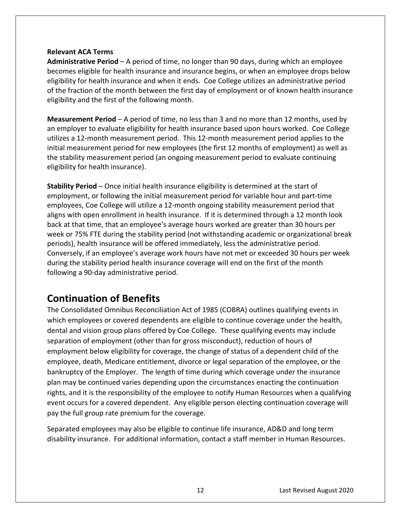#### **Relevant ACA Terms**

**Administrative Period** – A period of time, no longer than 90 days, during which an employee becomes eligible for health insurance and insurance begins, or when an employee drops below eligibility for health insurance and when it ends. Coe College utilizes an administrative period of the fraction of the month between the first day of employment or of known health insurance eligibility and the first of the following month.

**Measurement Period** – A period of time, no less than 3 and no more than 12 months, used by an employer to evaluate eligibility for health insurance based upon hours worked. Coe College utilizes a 12-month measurement period. This 12-month measurement period applies to the initial measurement period for new employees (the first 12 months of employment) as well as the stability measurement period (an ongoing measurement period to evaluate continuing eligibility for health insurance).

**Stability Period** – Once initial health insurance eligibility is determined at the start of employment, or following the initial measurement period for variable hour and part-time employees, Coe College will utilize a 12-month ongoing stability measurement period that aligns with open enrollment in health insurance. If it is determined through a 12 month look back at that time, that an employee's average hours worked are greater than 30 hours per week or 75% FTE during the stability period (not withstanding academic or organizational break periods), health insurance will be offered immediately, less the administrative period. Conversely, if an employee's average work hours have not met or exceeded 30 hours per week during the stability period health insurance coverage will end on the first of the month following a 90-day administrative period.

# **Continuation of Benefits**

 dental and vision group plans offered by Coe College. These qualifying events may include The Consolidated Omnibus Reconciliation Act of 1985 (COBRA) outlines qualifying events in which employees or covered dependents are eligible to continue coverage under the health, separation of employment (other than for gross misconduct), reduction of hours of employment below eligibility for coverage, the change of status of a dependent child of the employee, death, Medicare entitlement, divorce or legal separation of the employee, or the bankruptcy of the Employer. The length of time during which coverage under the insurance plan may be continued varies depending upon the circumstances enacting the continuation rights, and it is the responsibility of the employee to notify Human Resources when a qualifying event occurs for a covered dependent. Any eligible person electing continuation coverage will pay the full group rate premium for the coverage.

Separated employees may also be eligible to continue life insurance, AD&D and long term disability insurance. For additional information, contact a staff member in Human Resources.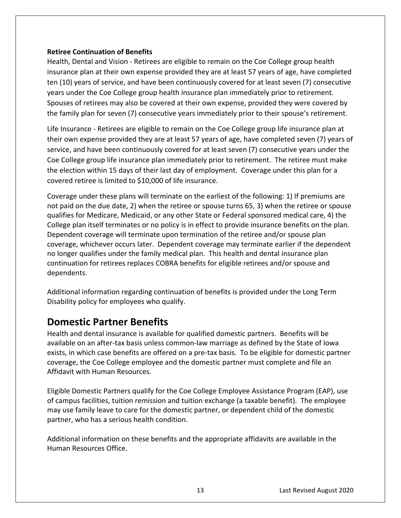#### <span id="page-13-0"></span>**Retiree Continuation of Benefits**

Health, Dental and Vision - Retirees are eligible to remain on the Coe College group health insurance plan at their own expense provided they are at least 57 years of age, have completed ten (10) years of service, and have been continuously covered for at least seven (7) consecutive years under the Coe College group health insurance plan immediately prior to retirement. Spouses of retirees may also be covered at their own expense, provided they were covered by the family plan for seven (7) consecutive years immediately prior to their spouse's retirement.

Life Insurance - Retirees are eligible to remain on the Coe College group life insurance plan at their own expense provided they are at least 57 years of age, have completed seven (7) years of service, and have been continuously covered for at least seven (7) consecutive years under the Coe College group life insurance plan immediately prior to retirement. The retiree must make the election within 15 days of their last day of employment. Coverage under this plan for a covered retiree is limited to \$10,000 of life insurance.

 no longer qualifies under the family medical plan. This health and dental insurance plan Coverage under these plans will terminate on the earliest of the following: 1) If premiums are not paid on the due date, 2) when the retiree or spouse turns 65, 3) when the retiree or spouse qualifies for Medicare, Medicaid, or any other State or Federal sponsored medical care, 4) the College plan itself terminates or no policy is in effect to provide insurance benefits on the plan. Dependent coverage will terminate upon termination of the retiree and/or spouse plan coverage, whichever occurs later. Dependent coverage may terminate earlier if the dependent continuation for retirees replaces COBRA benefits for eligible retirees and/or spouse and dependents.

Additional information regarding continuation of benefits is provided under the Long Term Disability policy for employees who qualify.

### **Domestic Partner Benefits**

Health and dental insurance is available for qualified domestic partners. Benefits will be available on an after-tax basis unless common-law marriage as defined by the State of Iowa exists, in which case benefits are offered on a pre-tax basis. To be eligible for domestic partner coverage, the Coe College employee and the domestic partner must complete and file an Affidavit with Human Resources.

Eligible Domestic Partners qualify for the Coe College Employee Assistance Program (EAP), use of campus facilities, tuition remission and tuition exchange (a taxable benefit). The employee may use family leave to care for the domestic partner, or dependent child of the domestic partner, who has a serious health condition.

Additional information on these benefits and the appropriate affidavits are available in the Human Resources Office.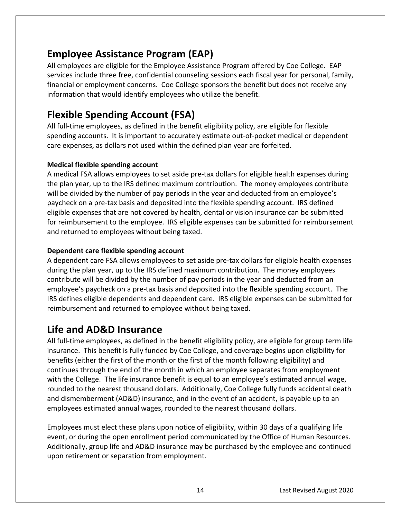# <span id="page-14-0"></span>**Employee Assistance Program (EAP)**

All employees are eligible for the Employee Assistance Program offered by Coe College. EAP services include three free, confidential counseling sessions each fiscal year for personal, family, financial or employment concerns. Coe College sponsors the benefit but does not receive any information that would identify employees who utilize the benefit.

# **Flexible Spending Account (FSA)**

All full-time employees, as defined in the benefit eligibility policy, are eligible for flexible spending accounts. It is important to accurately estimate out-of-pocket medical or dependent care expenses, as dollars not used within the defined plan year are forfeited.

### **Medical flexible spending account**

 for reimbursement to the employee. IRS eligible expenses can be submitted for reimbursement A medical FSA allows employees to set aside pre-tax dollars for eligible health expenses during the plan year, up to the IRS defined maximum contribution. The money employees contribute will be divided by the number of pay periods in the year and deducted from an employee's paycheck on a pre-tax basis and deposited into the flexible spending account. IRS defined eligible expenses that are not covered by health, dental or vision insurance can be submitted and returned to employees without being taxed.

### **Dependent care flexible spending account**

A dependent care FSA allows employees to set aside pre-tax dollars for eligible health expenses during the plan year, up to the IRS defined maximum contribution. The money employees contribute will be divided by the number of pay periods in the year and deducted from an employee's paycheck on a pre-tax basis and deposited into the flexible spending account. The IRS defines eligible dependents and dependent care. IRS eligible expenses can be submitted for reimbursement and returned to employee without being taxed.

### **Life and AD&D Insurance**

All full-time employees, as defined in the benefit eligibility policy, are eligible for group term life insurance. This benefit is fully funded by Coe College, and coverage begins upon eligibility for benefits (either the first of the month or the first of the month following eligibility) and continues through the end of the month in which an employee separates from employment with the College. The life insurance benefit is equal to an employee's estimated annual wage, rounded to the nearest thousand dollars. Additionally, Coe College fully funds accidental death and dismemberment (AD&D) insurance, and in the event of an accident, is payable up to an employees estimated annual wages, rounded to the nearest thousand dollars.

Employees must elect these plans upon notice of eligibility, within 30 days of a qualifying life event, or during the open enrollment period communicated by the Office of Human Resources. Additionally, group life and AD&D insurance may be purchased by the employee and continued upon retirement or separation from employment.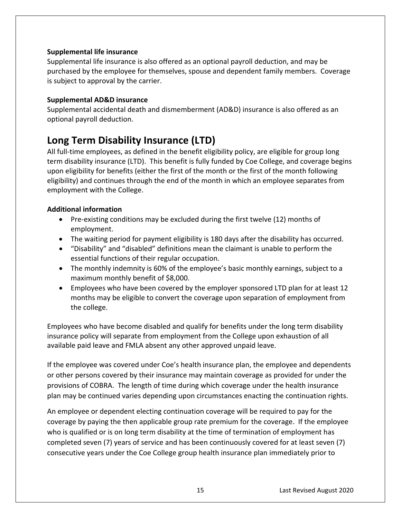#### <span id="page-15-0"></span>**Supplemental life insurance**

Supplemental life insurance is also offered as an optional payroll deduction, and may be purchased by the employee for themselves, spouse and dependent family members. Coverage is subject to approval by the carrier.

#### **Supplemental AD&D insurance**

Supplemental accidental death and dismemberment (AD&D) insurance is also offered as an optional payroll deduction.

# **Long Term Disability Insurance (LTD)**

All full-time employees, as defined in the benefit eligibility policy, are eligible for group long term disability insurance (LTD). This benefit is fully funded by Coe College, and coverage begins upon eligibility for benefits (either the first of the month or the first of the month following eligibility) and continues through the end of the month in which an employee separates from employment with the College.

### **Additional information**

- Pre-existing conditions may be excluded during the first twelve (12) months of employment.
- The waiting period for payment eligibility is 180 days after the disability has occurred.
- "Disability" and "disabled" definitions mean the claimant is unable to perform the essential functions of their regular occupation.
- The monthly indemnity is 60% of the employee's basic monthly earnings, subject to a maximum monthly benefit of \$8,000.
- Employees who have been covered by the employer sponsored LTD plan for at least 12 months may be eligible to convert the coverage upon separation of employment from the college.

Employees who have become disabled and qualify for benefits under the long term disability insurance policy will separate from employment from the College upon exhaustion of all available paid leave and FMLA absent any other approved unpaid leave.

If the employee was covered under Coe's health insurance plan, the employee and dependents or other persons covered by their insurance may maintain coverage as provided for under the provisions of COBRA. The length of time during which coverage under the health insurance plan may be continued varies depending upon circumstances enacting the continuation rights.

An employee or dependent electing continuation coverage will be required to pay for the coverage by paying the then applicable group rate premium for the coverage. If the employee who is qualified or is on long term disability at the time of termination of employment has completed seven (7) years of service and has been continuously covered for at least seven (7) consecutive years under the Coe College group health insurance plan immediately prior to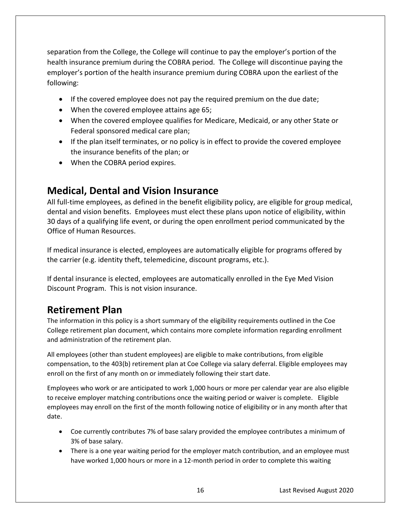<span id="page-16-0"></span>separation from the College, the College will continue to pay the employer's portion of the health insurance premium during the COBRA period. The College will discontinue paying the employer's portion of the health insurance premium during COBRA upon the earliest of the following:

- If the covered employee does not pay the required premium on the due date;
- When the covered employee attains age 65;
- When the covered employee qualifies for Medicare, Medicaid, or any other State or Federal sponsored medical care plan;
- If the plan itself terminates, or no policy is in effect to provide the covered employee the insurance benefits of the plan; or
- When the COBRA period expires.

### **Medical, Dental and Vision Insurance**

All full-time employees, as defined in the benefit eligibility policy, are eligible for group medical, dental and vision benefits. Employees must elect these plans upon notice of eligibility, within 30 days of a qualifying life event, or during the open enrollment period communicated by the Office of Human Resources.

If medical insurance is elected, employees are automatically eligible for programs offered by the carrier (e.g. identity theft, telemedicine, discount programs, etc.).

If dental insurance is elected, employees are automatically enrolled in the Eye Med Vision Discount Program. This is not vision insurance.

# **Retirement Plan**

The information in this policy is a short summary of the eligibility requirements outlined in the Coe College retirement plan document, which contains more complete information regarding enrollment and administration of the retirement plan.

All employees (other than student employees) are eligible to make contributions, from eligible compensation, to the 403(b) retirement plan at Coe College via salary deferral. Eligible employees may enroll on the first of any month on or immediately following their start date.

Employees who work or are anticipated to work 1,000 hours or more per calendar year are also eligible to receive employer matching contributions once the waiting period or waiver is complete. Eligible employees may enroll on the first of the month following notice of eligibility or in any month after that date.

- Coe currently contributes 7% of base salary provided the employee contributes a minimum of 3% of base salary.
- There is a one year waiting period for the employer match contribution, and an employee must have worked 1,000 hours or more in a 12-month period in order to complete this waiting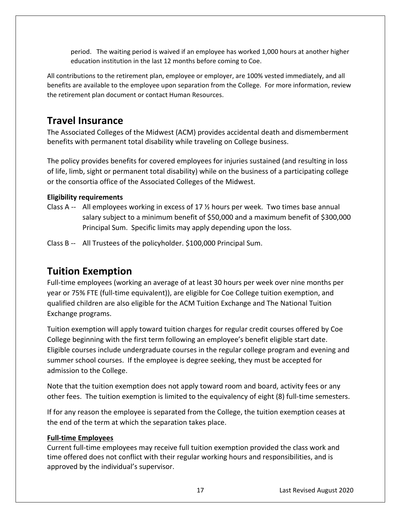period. The waiting period is waived if an employee has worked 1,000 hours at another higher education institution in the last 12 months before coming to Coe.

All contributions to the retirement plan, employee or employer, are 100% vested immediately, and all benefits are available to the employee upon separation from the College. For more information, review the retirement plan document or contact Human Resources.

### **Travel Insurance**

The Associated Colleges of the Midwest (ACM) provides accidental death and dismemberment benefits with permanent total disability while traveling on College business.

The policy provides benefits for covered employees for injuries sustained (and resulting in loss of life, limb, sight or permanent total disability) while on the business of a participating college or the consortia office of the Associated Colleges of the Midwest.

### **Eligibility requirements**

- Class A -- All employees working in excess of 17  $\frac{1}{2}$  hours per week. Two times base annual salary subject to a minimum benefit of \$50,000 and a maximum benefit of \$300,000 Principal Sum. Specific limits may apply depending upon the loss.
- Class B -- All Trustees of the policyholder. \$100,000 Principal Sum.

### **Tuition Exemption**

Full-time employees (working an average of at least 30 hours per week over nine months per year or 75% FTE (full-time equivalent)), are eligible for Coe College tuition exemption, and qualified children are also eligible for the ACM Tuition Exchange and The National Tuition Exchange programs.

Tuition exemption will apply toward tuition charges for regular credit courses offered by Coe College beginning with the first term following an employee's benefit eligible start date. Eligible courses include undergraduate courses in the regular college program and evening and summer school courses. If the employee is degree seeking, they must be accepted for admission to the College.

Note that the tuition exemption does not apply toward room and board, activity fees or any other fees. The tuition exemption is limited to the equivalency of eight (8) full-time semesters.

If for any reason the employee is separated from the College, the tuition exemption ceases at the end of the term at which the separation takes place.

### **Full-time Employees**

Current full-time employees may receive full tuition exemption provided the class work and time offered does not conflict with their regular working hours and responsibilities, and is approved by the individual's supervisor.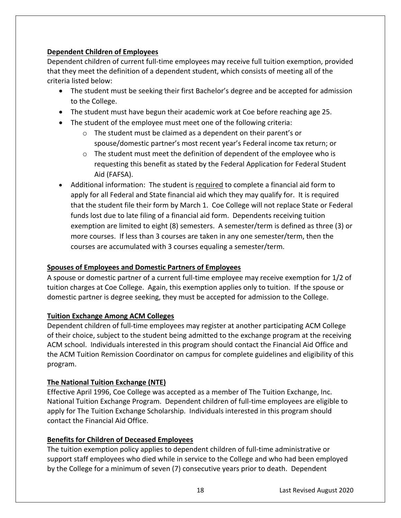### **Dependent Children of Employees**

Dependent children of current full-time employees may receive full tuition exemption, provided that they meet the definition of a dependent student, which consists of meeting all of the criteria listed below:

- The student must be seeking their first Bachelor's degree and be accepted for admission to the College.
- The student must have begun their academic work at Coe before reaching age 25.
- The student of the employee must meet one of the following criteria:
	- o The student must be claimed as a dependent on their parent's or spouse/domestic partner's most recent year's Federal income tax return; or
	- $\circ$  The student must meet the definition of dependent of the employee who is requesting this benefit as stated by the Federal Application for Federal Student Aid (FAFSA).
- Additional information: The student is required to complete a financial aid form to apply for all Federal and State financial aid which they may qualify for. It is required that the student file their form by March 1. Coe College will not replace State or Federal funds lost due to late filing of a financial aid form. Dependents receiving tuition exemption are limited to eight (8) semesters. A semester/term is defined as three (3) or more courses. If less than 3 courses are taken in any one semester/term, then the courses are accumulated with 3 courses equaling a semester/term.

### **Spouses of Employees and Domestic Partners of Employees**

A spouse or domestic partner of a current full-time employee may receive exemption for 1/2 of tuition charges at Coe College. Again, this exemption applies only to tuition. If the spouse or domestic partner is degree seeking, they must be accepted for admission to the College.

### **Tuition Exchange Among ACM Colleges**

Dependent children of full-time employees may register at another participating ACM College of their choice, subject to the student being admitted to the exchange program at the receiving ACM school. Individuals interested in this program should contact the Financial Aid Office and the ACM Tuition Remission Coordinator on campus for complete guidelines and eligibility of this program.

### **The National Tuition Exchange (NTE)**

Effective April 1996, Coe College was accepted as a member of The Tuition Exchange, Inc. National Tuition Exchange Program. Dependent children of full-time employees are eligible to apply for The Tuition Exchange Scholarship. Individuals interested in this program should contact the Financial Aid Office.

### **Benefits for Children of Deceased Employees**

The tuition exemption policy applies to dependent children of full-time administrative or support staff employees who died while in service to the College and who had been employed by the College for a minimum of seven (7) consecutive years prior to death. Dependent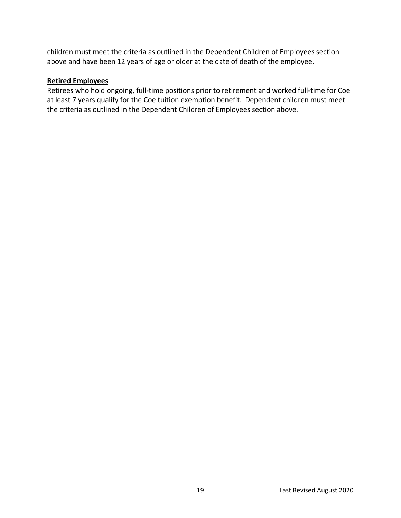<span id="page-19-0"></span>children must meet the criteria as outlined in the Dependent Children of Employees section above and have been 12 years of age or older at the date of death of the employee.

#### **Retired Employees**

Retirees who hold ongoing, full-time positions prior to retirement and worked full-time for Coe at least 7 years qualify for the Coe tuition exemption benefit. Dependent children must meet the criteria as outlined in the Dependent Children of Employees section above.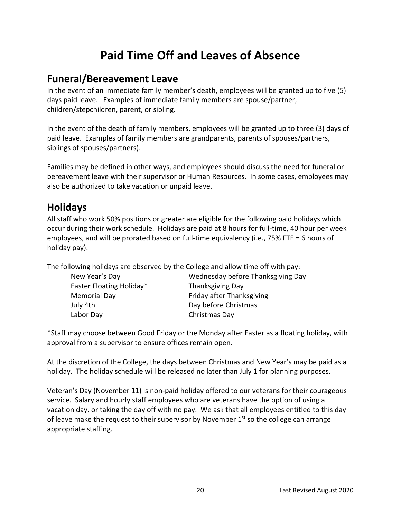# **Paid Time Off and Leaves of Absence**

### **Funeral/Bereavement Leave**

In the event of an immediate family member's death, employees will be granted up to five (5) days paid leave. Examples of immediate family members are spouse/partner, children/stepchildren, parent, or sibling.

In the event of the death of family members, employees will be granted up to three (3) days of paid leave. Examples of family members are grandparents, parents of spouses/partners, siblings of spouses/partners).

Families may be defined in other ways, and employees should discuss the need for funeral or bereavement leave with their supervisor or Human Resources. In some cases, employees may also be authorized to take vacation or unpaid leave.

# **Holidays**

All staff who work 50% positions or greater are eligible for the following paid holidays which occur during their work schedule. Holidays are paid at 8 hours for full-time, 40 hour per week employees, and will be prorated based on full-time equivalency (i.e., 75% FTE = 6 hours of holiday pay).

The following holidays are observed by the College and allow time off with pay:

| New Year's Day           | Wednesday before Thanksgiving Day |  |
|--------------------------|-----------------------------------|--|
| Easter Floating Holiday* | <b>Thanksgiving Day</b>           |  |
| <b>Memorial Day</b>      | Friday after Thanksgiving         |  |
| July 4th                 | Day before Christmas              |  |
| Labor Day                | Christmas Day                     |  |
|                          |                                   |  |

\*Staff may choose between Good Friday or the Monday after Easter as a floating holiday, with approval from a supervisor to ensure offices remain open.

At the discretion of the College, the days between Christmas and New Year's may be paid as a holiday. The holiday schedule will be released no later than July 1 for planning purposes.

Veteran's Day (November 11) is non-paid holiday offered to our veterans for their courageous service. Salary and hourly staff employees who are veterans have the option of using a vacation day, or taking the day off with no pay. We ask that all employees entitled to this day of leave make the request to their supervisor by November  $1<sup>st</sup>$  so the college can arrange appropriate staffing.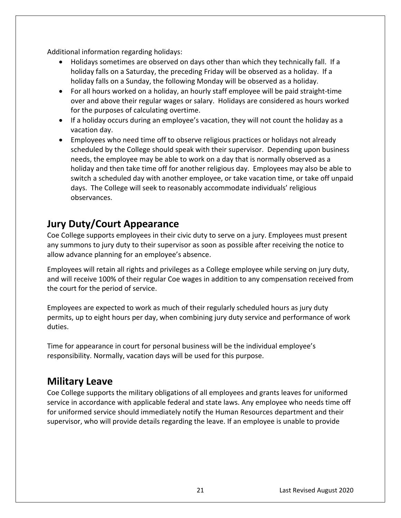<span id="page-21-0"></span>Additional information regarding holidays:

- Holidays sometimes are observed on days other than which they technically fall. If a holiday falls on a Saturday, the preceding Friday will be observed as a holiday. If a holiday falls on a Sunday, the following Monday will be observed as a holiday.
- For all hours worked on a holiday, an hourly staff employee will be paid straight-time over and above their regular wages or salary. Holidays are considered as hours worked for the purposes of calculating overtime.
- If a holiday occurs during an employee's vacation, they will not count the holiday as a vacation day.
- Employees who need time off to observe religious practices or holidays not already scheduled by the College should speak with their supervisor. Depending upon business needs, the employee may be able to work on a day that is normally observed as a holiday and then take time off for another religious day. Employees may also be able to switch a scheduled day with another employee, or take vacation time, or take off unpaid days. The College will seek to reasonably accommodate individuals' religious observances.

# **Jury Duty/Court Appearance**

Coe College supports employees in their civic duty to serve on a jury. Employees must present any summons to jury duty to their supervisor as soon as possible after receiving the notice to allow advance planning for an employee's absence.

Employees will retain all rights and privileges as a College employee while serving on jury duty, and will receive 100% of their regular Coe wages in addition to any compensation received from the court for the period of service.

Employees are expected to work as much of their regularly scheduled hours as jury duty permits, up to eight hours per day, when combining jury duty service and performance of work duties.

Time for appearance in court for personal business will be the individual employee's responsibility. Normally, vacation days will be used for this purpose.

# **Military Leave**

Coe College supports the military obligations of all employees and grants leaves for uniformed service in accordance with applicable federal and state laws. Any employee who needs time off for uniformed service should immediately notify the Human Resources department and their supervisor, who will provide details regarding the leave. If an employee is unable to provide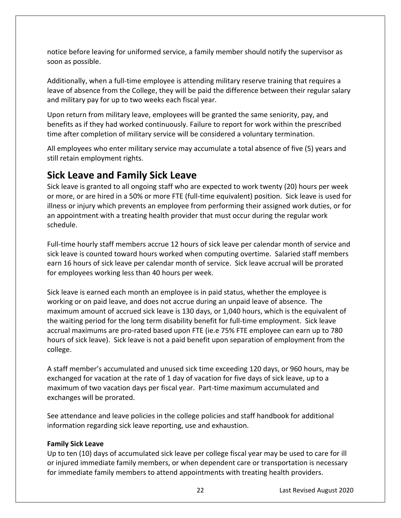<span id="page-22-0"></span>notice before leaving for uniformed service, a family member should notify the supervisor as soon as possible.

Additionally, when a full-time employee is attending military reserve training that requires a leave of absence from the College, they will be paid the difference between their regular salary and military pay for up to two weeks each fiscal year.

Upon return from military leave, employees will be granted the same seniority, pay, and benefits as if they had worked continuously. Failure to report for work within the prescribed time after completion of military service will be considered a voluntary termination.

All employees who enter military service may accumulate a total absence of five (5) years and still retain employment rights.

# **Sick Leave and Family Sick Leave**

Sick leave is granted to all ongoing staff who are expected to work twenty (20) hours per week or more, or are hired in a 50% or more FTE (full-time equivalent) position. Sick leave is used for illness or injury which prevents an employee from performing their assigned work duties, or for an appointment with a treating health provider that must occur during the regular work schedule.

Full-time hourly staff members accrue 12 hours of sick leave per calendar month of service and sick leave is counted toward hours worked when computing overtime. Salaried staff members earn 16 hours of sick leave per calendar month of service. Sick leave accrual will be prorated for employees working less than 40 hours per week.

Sick leave is earned each month an employee is in paid status, whether the employee is working or on paid leave, and does not accrue during an unpaid leave of absence. The maximum amount of accrued sick leave is 130 days, or 1,040 hours, which is the equivalent of the waiting period for the long term disability benefit for full-time employment. Sick leave accrual maximums are pro-rated based upon FTE (ie.e 75% FTE employee can earn up to 780 hours of sick leave). Sick leave is not a paid benefit upon separation of employment from the college.

A staff member's accumulated and unused sick time exceeding 120 days, or 960 hours, may be exchanged for vacation at the rate of 1 day of vacation for five days of sick leave, up to a maximum of two vacation days per fiscal year. Part-time maximum accumulated and exchanges will be prorated.

See attendance and leave policies in the college policies and staff handbook for additional information regarding sick leave reporting, use and exhaustion.

### **Family Sick Leave**

 for immediate family members to attend appointments with treating health providers. 22 Last Revised August 2020 Up to ten (10) days of accumulated sick leave per college fiscal year may be used to care for ill or injured immediate family members, or when dependent care or transportation is necessary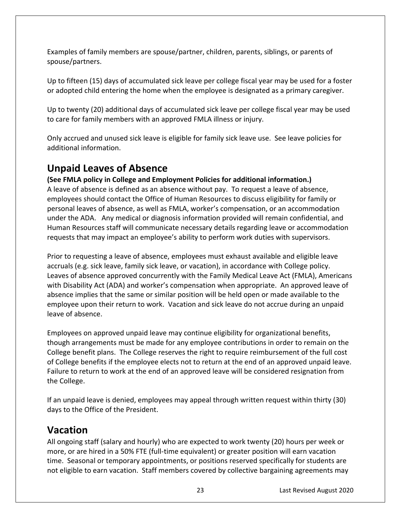<span id="page-23-0"></span>Examples of family members are spouse/partner, children, parents, siblings, or parents of spouse/partners.

Up to fifteen (15) days of accumulated sick leave per college fiscal year may be used for a foster or adopted child entering the home when the employee is designated as a primary caregiver.

Up to twenty (20) additional days of accumulated sick leave per college fiscal year may be used to care for family members with an approved FMLA illness or injury.

Only accrued and unused sick leave is eligible for family sick leave use. See leave policies for additional information.

# **Unpaid Leaves of Absence**

 requests that may impact an employee's ability to perform work duties with supervisors. **(See FMLA policy in College and Employment Policies for additional information.)**  A leave of absence is defined as an absence without pay. To request a leave of absence, employees should contact the Office of Human Resources to discuss eligibility for family or personal leaves of absence, as well as FMLA, worker's compensation, or an accommodation under the ADA. Any medical or diagnosis information provided will remain confidential, and Human Resources staff will communicate necessary details regarding leave or accommodation

Prior to requesting a leave of absence, employees must exhaust available and eligible leave accruals (e.g. sick leave, family sick leave, or vacation), in accordance with College policy. Leaves of absence approved concurrently with the Family Medical Leave Act (FMLA), Americans with Disability Act (ADA) and worker's compensation when appropriate. An approved leave of absence implies that the same or similar position will be held open or made available to the employee upon their return to work. Vacation and sick leave do not accrue during an unpaid leave of absence.

Employees on approved unpaid leave may continue eligibility for organizational benefits, though arrangements must be made for any employee contributions in order to remain on the College benefit plans. The College reserves the right to require reimbursement of the full cost of College benefits if the employee elects not to return at the end of an approved unpaid leave. Failure to return to work at the end of an approved leave will be considered resignation from the College.

If an unpaid leave is denied, employees may appeal through written request within thirty (30) days to the Office of the President.

### **Vacation**

All ongoing staff (salary and hourly) who are expected to work twenty (20) hours per week or more, or are hired in a 50% FTE (full-time equivalent) or greater position will earn vacation time. Seasonal or temporary appointments, or positions reserved specifically for students are not eligible to earn vacation. Staff members covered by collective bargaining agreements may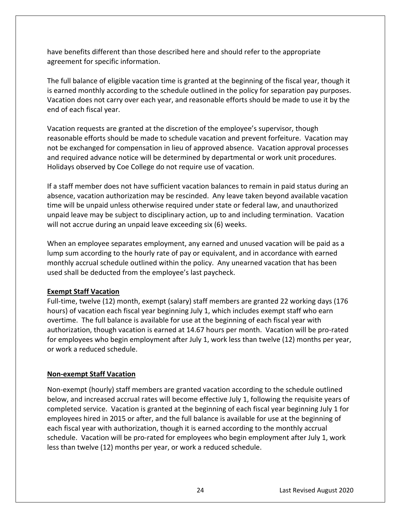<span id="page-24-0"></span>have benefits different than those described here and should refer to the appropriate agreement for specific information.

The full balance of eligible vacation time is granted at the beginning of the fiscal year, though it is earned monthly according to the schedule outlined in the policy for separation pay purposes. Vacation does not carry over each year, and reasonable efforts should be made to use it by the end of each fiscal year.

Vacation requests are granted at the discretion of the employee's supervisor, though reasonable efforts should be made to schedule vacation and prevent forfeiture. Vacation may not be exchanged for compensation in lieu of approved absence. Vacation approval processes and required advance notice will be determined by departmental or work unit procedures. Holidays observed by Coe College do not require use of vacation.

If a staff member does not have sufficient vacation balances to remain in paid status during an absence, vacation authorization may be rescinded. Any leave taken beyond available vacation time will be unpaid unless otherwise required under state or federal law, and unauthorized unpaid leave may be subject to disciplinary action, up to and including termination. Vacation will not accrue during an unpaid leave exceeding six (6) weeks.

When an employee separates employment, any earned and unused vacation will be paid as a lump sum according to the hourly rate of pay or equivalent, and in accordance with earned monthly accrual schedule outlined within the policy. Any unearned vacation that has been used shall be deducted from the employee's last paycheck.

#### **Exempt Staff Vacation**

Full-time, twelve (12) month, exempt (salary) staff members are granted 22 working days (176 hours) of vacation each fiscal year beginning July 1, which includes exempt staff who earn overtime. The full balance is available for use at the beginning of each fiscal year with authorization, though vacation is earned at 14.67 hours per month. Vacation will be pro-rated for employees who begin employment after July 1, work less than twelve (12) months per year, or work a reduced schedule.

### **Non-exempt Staff Vacation**

Non-exempt (hourly) staff members are granted vacation according to the schedule outlined below, and increased accrual rates will become effective July 1, following the requisite years of completed service. Vacation is granted at the beginning of each fiscal year beginning July 1 for employees hired in 2015 or after, and the full balance is available for use at the beginning of each fiscal year with authorization, though it is earned according to the monthly accrual schedule. Vacation will be pro-rated for employees who begin employment after July 1, work less than twelve (12) months per year, or work a reduced schedule.